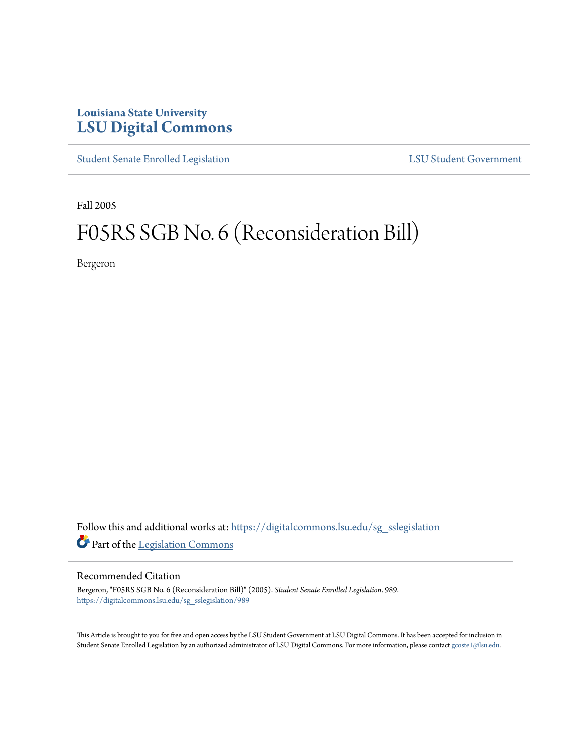## **Louisiana State University [LSU Digital Commons](https://digitalcommons.lsu.edu?utm_source=digitalcommons.lsu.edu%2Fsg_sslegislation%2F989&utm_medium=PDF&utm_campaign=PDFCoverPages)**

[Student Senate Enrolled Legislation](https://digitalcommons.lsu.edu/sg_sslegislation?utm_source=digitalcommons.lsu.edu%2Fsg_sslegislation%2F989&utm_medium=PDF&utm_campaign=PDFCoverPages) [LSU Student Government](https://digitalcommons.lsu.edu/sg?utm_source=digitalcommons.lsu.edu%2Fsg_sslegislation%2F989&utm_medium=PDF&utm_campaign=PDFCoverPages)

Fall 2005

# F05RS SGB No. 6 (Reconsideration Bill)

Bergeron

Follow this and additional works at: [https://digitalcommons.lsu.edu/sg\\_sslegislation](https://digitalcommons.lsu.edu/sg_sslegislation?utm_source=digitalcommons.lsu.edu%2Fsg_sslegislation%2F989&utm_medium=PDF&utm_campaign=PDFCoverPages) Part of the [Legislation Commons](http://network.bepress.com/hgg/discipline/859?utm_source=digitalcommons.lsu.edu%2Fsg_sslegislation%2F989&utm_medium=PDF&utm_campaign=PDFCoverPages)

#### Recommended Citation

Bergeron, "F05RS SGB No. 6 (Reconsideration Bill)" (2005). *Student Senate Enrolled Legislation*. 989. [https://digitalcommons.lsu.edu/sg\\_sslegislation/989](https://digitalcommons.lsu.edu/sg_sslegislation/989?utm_source=digitalcommons.lsu.edu%2Fsg_sslegislation%2F989&utm_medium=PDF&utm_campaign=PDFCoverPages)

This Article is brought to you for free and open access by the LSU Student Government at LSU Digital Commons. It has been accepted for inclusion in Student Senate Enrolled Legislation by an authorized administrator of LSU Digital Commons. For more information, please contact [gcoste1@lsu.edu.](mailto:gcoste1@lsu.edu)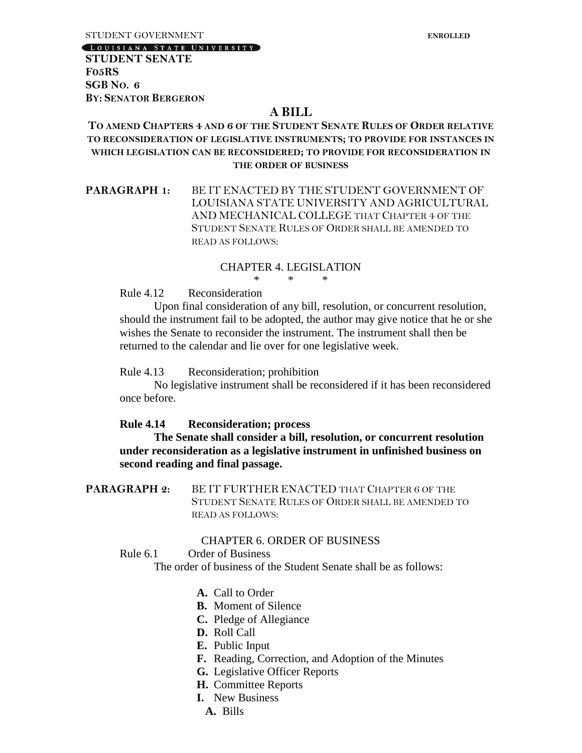LOUISIANA STATE UNIVERSITY

**STUDENT SENATE F05RS SGB NO. 6 BY: SENATOR BERGERON**

### **A BILL**

#### **TO AMEND CHAPTERS 4 AND 6 OF THE STUDENT SENATE RULES OF ORDER RELATIVE TO RECONSIDERATION OF LEGISLATIVE INSTRUMENTS; TO PROVIDE FOR INSTANCES IN WHICH LEGISLATION CAN BE RECONSIDERED; TO PROVIDE FOR RECONSIDERATION IN THE ORDER OF BUSINESS**

**PARAGRAPH 1:** BE IT ENACTED BY THE STUDENT GOVERNMENT OF LOUISIANA STATE UNIVERSITY AND AGRICULTURAL AND MECHANICAL COLLEGE THAT CHAPTER 4 OF THE STUDENT SENATE RULES OF ORDER SHALL BE AMENDED TO READ AS FOLLOWS:

#### CHAPTER 4. LEGISLATION

\* \* \*

Rule 4.12 Reconsideration

Upon final consideration of any bill, resolution, or concurrent resolution, should the instrument fail to be adopted, the author may give notice that he or she wishes the Senate to reconsider the instrument. The instrument shall then be returned to the calendar and lie over for one legislative week.

#### Rule 4.13 Reconsideration; prohibition

No legislative instrument shall be reconsidered if it has been reconsidered once before.

#### **Rule 4.14 Reconsideration; process**

**The Senate shall consider a bill, resolution, or concurrent resolution under reconsideration as a legislative instrument in unfinished business on second reading and final passage.**

**PARAGRAPH 2:** BE IT FURTHER ENACTED THAT CHAPTER 6 OF THE STUDENT SENATE RULES OF ORDER SHALL BE AMENDED TO READ AS FOLLOWS:

#### CHAPTER 6. ORDER OF BUSINESS

#### Rule 6.1 Order of Business

The order of business of the Student Senate shall be as follows:

- **A.** Call to Order
- **B.** Moment of Silence
- **C.** Pledge of Allegiance
- **D.** Roll Call
- **E.** Public Input
- **F.** Reading, Correction, and Adoption of the Minutes
- **G.** Legislative Officer Reports
- **H.** Committee Reports
- **I.** New Business
	- **A.** Bills